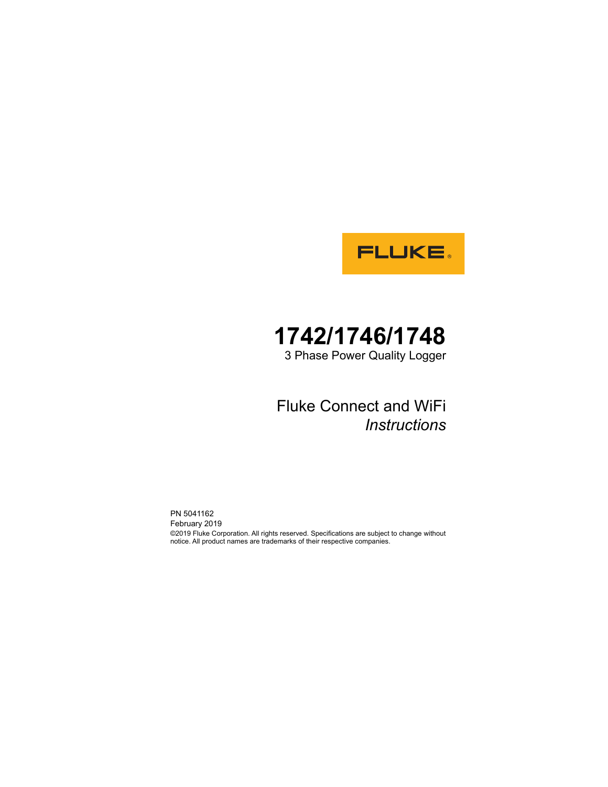

# **1742/1746/1748** 3 Phase Power Quality Logger

# Fluke Connect and WiFi *Instructions*

PN 5041162 February 2019 ©2019 Fluke Corporation. All rights reserved. Specifications are subject to change without notice. All product names are trademarks of their respective companies.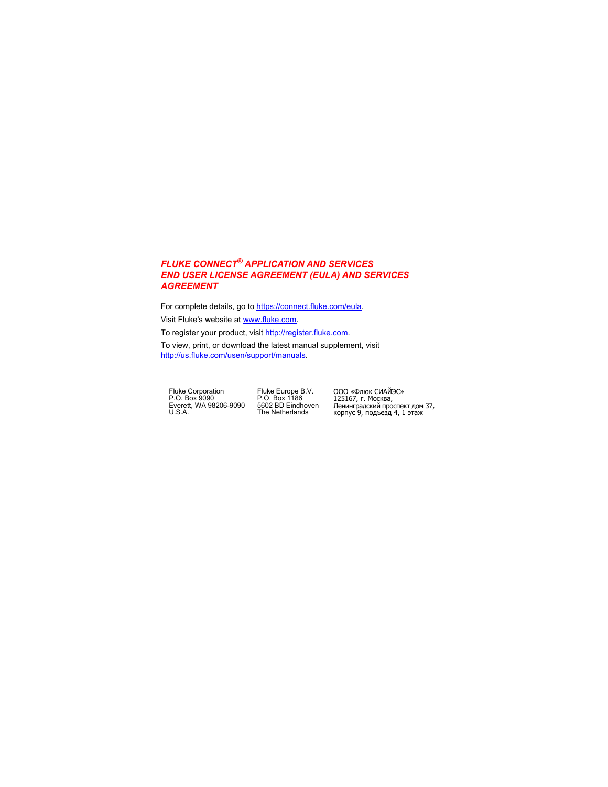## *FLUKE CONNECT® APPLICATION AND SERVICES END USER LICENSE AGREEMENT (EULA) AND SERVICES AGREEMENT*

For complete details, go to<https://connect.fluke.com/eula>.

Visit Fluke's website at www.fluke.com.

To register your product, visit http://register.fluke.com.

To view, print, or download the latest manual supplement, visit http://us.fluke.com/usen/support/manuals.

Fluke Corporation P.O. Box 9090 Everett, WA 98206-9090  $U.S.A.$ 

Fluke Europe B.V. P.O. Box 1186 5602 BD Eindhoven The Netherlands

ООО «Флюк СИАЙЭС» 125167, г. Москва, Ленинградский проспект дом 37, корпус 9, подъезд 4, 1 этаж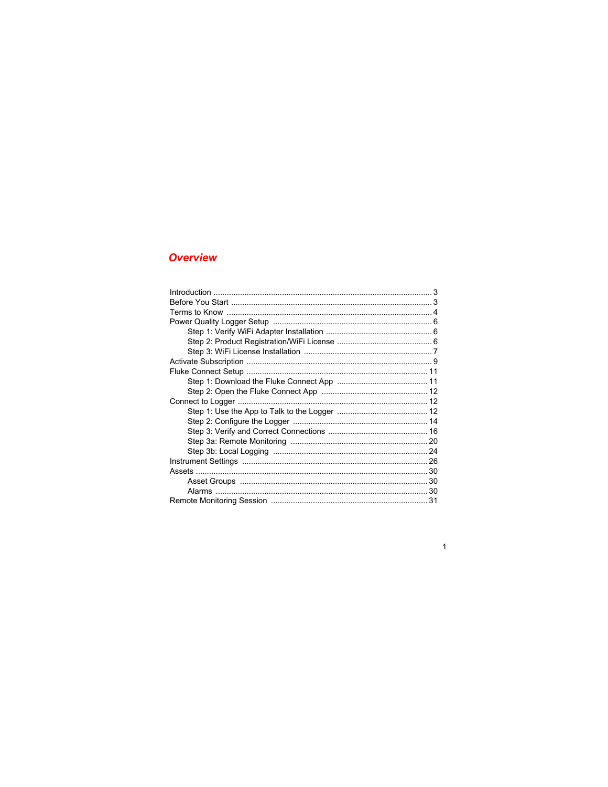## **Overview**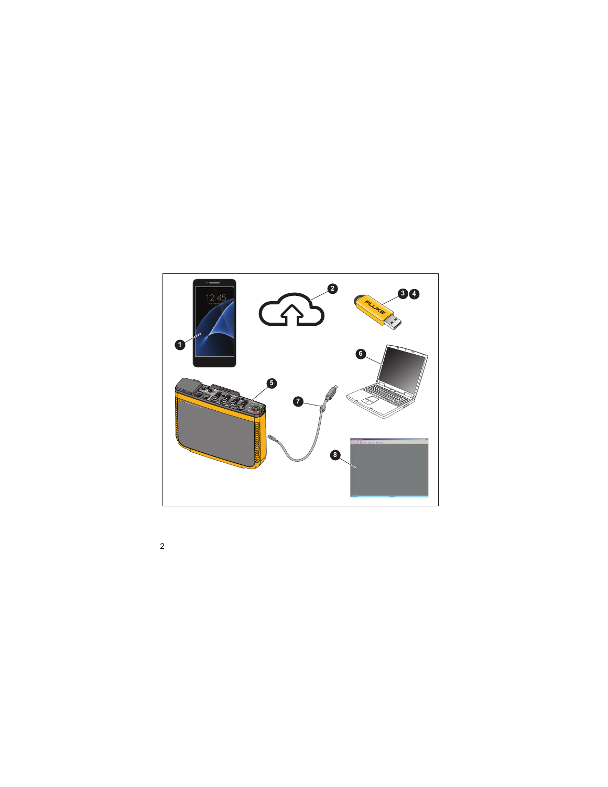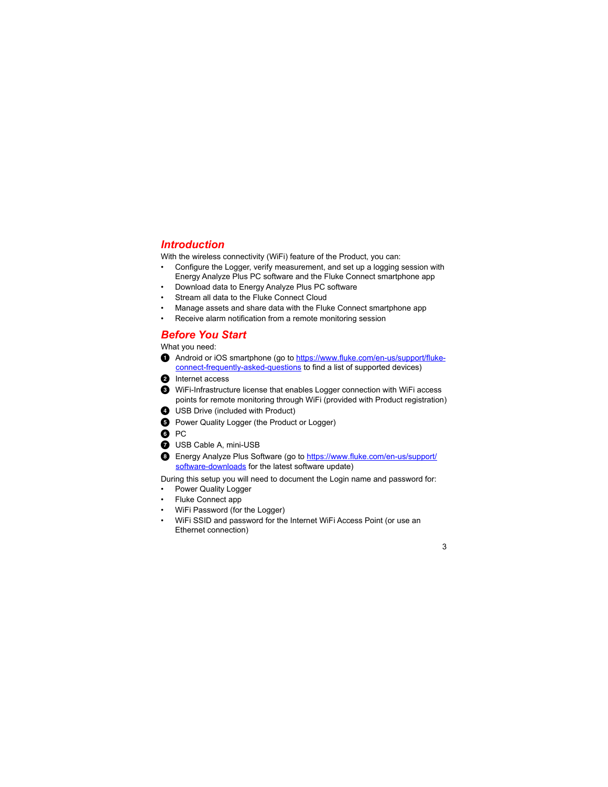## <span id="page-4-0"></span>*Introduction*

With the wireless connectivity (WiFi) feature of the Product, you can:

- Configure the Logger, verify measurement, and set up a logging session with Energy Analyze Plus PC software and the Fluke Connect smartphone app
- Download data to Energy Analyze Plus PC software
- Stream all data to the Fluke Connect Cloud
- Manage assets and share data with the Fluke Connect smartphone app
- Receive alarm notification from a remote monitoring session

## <span id="page-4-1"></span>*Before You Start*

What you need:

- [Android or iOS smartphone \(go to](https://www.fluke.com/en-us/support/fluke-connect-frequently-asked-questions) https://www.fluke.com/en-us/support/flukeconnect-frequently-asked-questions to find a list of supported devices)
- **2** Internet access
- WiFi-Infrastructure license that enables Logger connection with WiFi access points for remote monitoring through WiFi (provided with Product registration)
- **O** USB Drive (included with Product)
- **B** Power Quality Logger (the Product or Logger)
- **O** PC
- **O** USB Cable A, mini-USB
- [Energy Analyze Plus Software \(go to](https://www.fluke.com/en-us/support/software-downloads) https://www.fluke.com/en-us/support/ software-downloads for the latest software update)

During this setup you will need to document the Login name and password for:

- Power Quality Logger
- Fluke Connect app
- WiFi Password (for the Logger)
- WiFi SSID and password for the Internet WiFi Access Point (or use an Ethernet connection)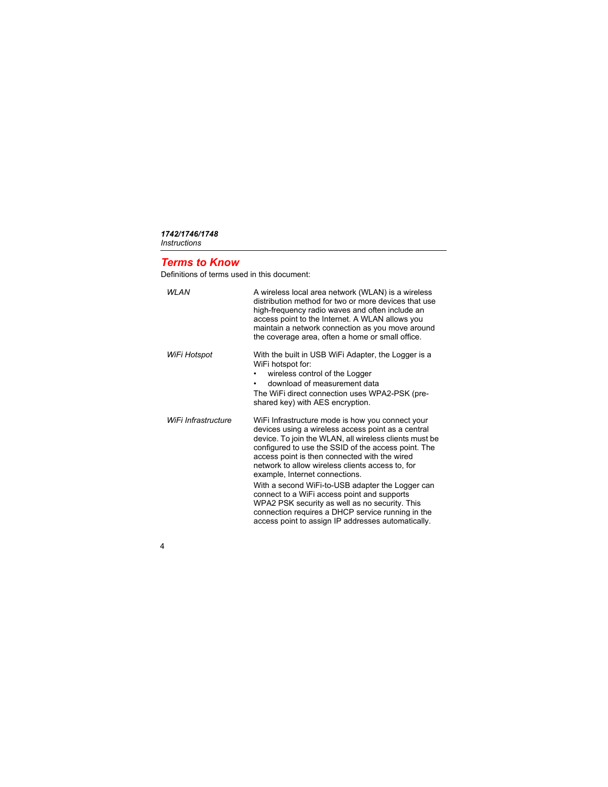## <span id="page-5-0"></span>*Terms to Know*

Definitions of terms used in this document:

| WI AN               | A wireless local area network (WLAN) is a wireless<br>distribution method for two or more devices that use<br>high-frequency radio waves and often include an<br>access point to the Internet. A WLAN allows you<br>maintain a network connection as you move around<br>the coverage area, often a home or small office.                                                                                                                                                                                            |
|---------------------|---------------------------------------------------------------------------------------------------------------------------------------------------------------------------------------------------------------------------------------------------------------------------------------------------------------------------------------------------------------------------------------------------------------------------------------------------------------------------------------------------------------------|
| WiFi Hotspot        | With the built in USB WiFi Adapter, the Logger is a<br>WiFi hotspot for:<br>wireless control of the Logger<br>download of measurement data<br>The WiFi direct connection uses WPA2-PSK (pre-<br>shared key) with AES encryption.                                                                                                                                                                                                                                                                                    |
| WiFi Infrastructure | WiFi Infrastructure mode is how you connect your<br>devices using a wireless access point as a central<br>device. To join the WLAN, all wireless clients must be<br>configured to use the SSID of the access point. The<br>access point is then connected with the wired<br>network to allow wireless clients access to, for<br>example, Internet connections.<br>With a second WiFi-to-USB adapter the Logger can<br>connect to a WiFi access point and supports<br>WPA2 PSK security as well as no security. This |
|                     | connection requires a DHCP service running in the<br>access point to assign IP addresses automatically.                                                                                                                                                                                                                                                                                                                                                                                                             |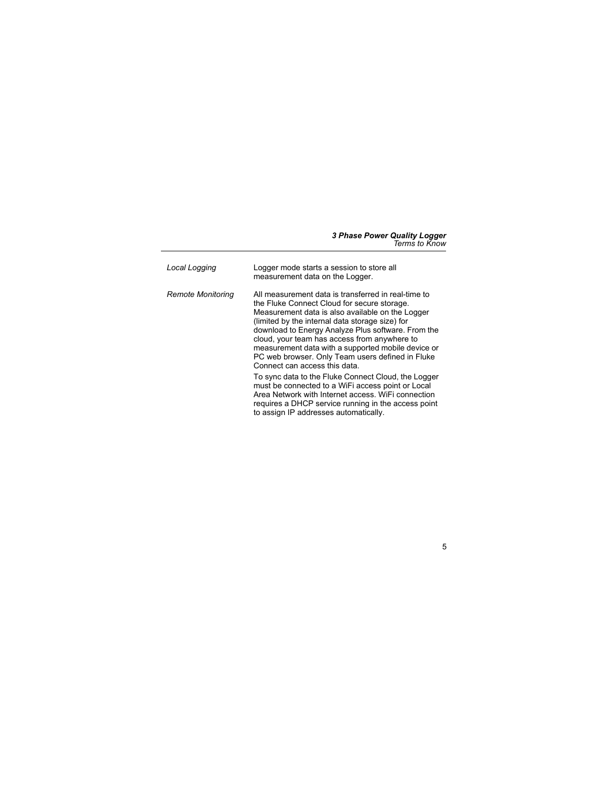| Local Logging            | Logger mode starts a session to store all<br>measurement data on the Logger.                                                                                                                                                                                                                                                                                                                                                                                                                                                                                                                                                                                                        |
|--------------------------|-------------------------------------------------------------------------------------------------------------------------------------------------------------------------------------------------------------------------------------------------------------------------------------------------------------------------------------------------------------------------------------------------------------------------------------------------------------------------------------------------------------------------------------------------------------------------------------------------------------------------------------------------------------------------------------|
| <b>Remote Monitoring</b> | All measurement data is transferred in real-time to<br>the Fluke Connect Cloud for secure storage.<br>Measurement data is also available on the Logger<br>(limited by the internal data storage size) for<br>download to Energy Analyze Plus software. From the<br>cloud, your team has access from anywhere to<br>measurement data with a supported mobile device or<br>PC web browser. Only Team users defined in Fluke<br>Connect can access this data.<br>To sync data to the Fluke Connect Cloud, the Logger<br>must be connected to a WiFi access point or Local<br>Area Network with Internet access. WiFi connection<br>requires a DHCP service running in the access point |
|                          | to assign IP addresses automatically.                                                                                                                                                                                                                                                                                                                                                                                                                                                                                                                                                                                                                                               |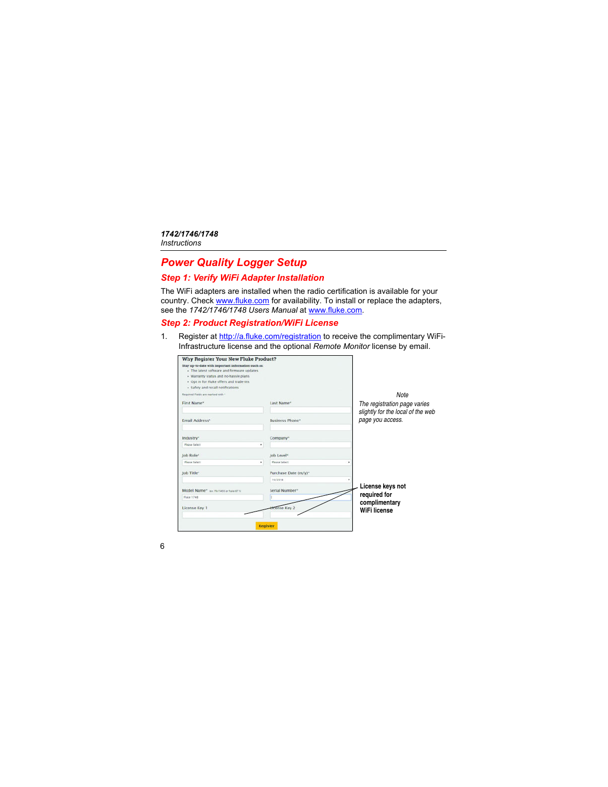## <span id="page-7-0"></span>*Power Quality Logger Setup*

## <span id="page-7-1"></span>*Step 1: Verify WiFi Adapter Installation*

The WiFi adapters are installed when the radio certification is available for your country. Check www.fluke.com for availability. To install or replace the adapters, see the *1742/1746/1748 Users Manual* [at w](https://www.fluke.com/en-us/support/manuals)ww.fluke.com.

## <span id="page-7-2"></span>*Step 2: Product Registration/WiFi License*

1. [Register at h](http://a.fluke.com/registration)ttp://a.fluke.com/registration to receive the complimentary WiFi-Infrastructure license and the optional *Remote Monitor* license by email.

| <b>Why Register Your New Fluke Product?</b>                                                                                                                                                                                                                      |   |                        |   |                                                       |
|------------------------------------------------------------------------------------------------------------------------------------------------------------------------------------------------------------------------------------------------------------------|---|------------------------|---|-------------------------------------------------------|
| Stay up-to-date with important information such as:<br>. The latest software and firmware updates<br>· Warranty status and no-hassle plans<br>· Opt in for Fluke offers and trade-ins.<br>· Safety and recall notifications<br>Required Fields are marked with + |   |                        |   | Note                                                  |
| First Name*                                                                                                                                                                                                                                                      |   | Last Name <sup>®</sup> |   | The registration page varies                          |
| Email Address*                                                                                                                                                                                                                                                   |   | Business Phone*        |   | slightly for the local of the web<br>page you access. |
| Industry <sup>*</sup>                                                                                                                                                                                                                                            |   | Company*               |   |                                                       |
| Please Select                                                                                                                                                                                                                                                    | ٠ |                        |   |                                                       |
| lob Role <sup>*</sup>                                                                                                                                                                                                                                            |   | Job Level <sup>*</sup> |   |                                                       |
| <b>Please Select</b>                                                                                                                                                                                                                                             | ٠ | <b>Please Select</b>   |   |                                                       |
| Job Title*                                                                                                                                                                                                                                                       |   | Purchase Date (m/y)*   |   |                                                       |
|                                                                                                                                                                                                                                                                  |   | 10/2018                | ٠ |                                                       |
| Model Name* as numerous nusser w                                                                                                                                                                                                                                 |   | Serial Number*         |   | License keys not<br>required for                      |
| Fluke 1748                                                                                                                                                                                                                                                       |   |                        |   |                                                       |
| License Key 1                                                                                                                                                                                                                                                    |   | icense Key 2           |   | complimentary<br><b>WiFi license</b>                  |
|                                                                                                                                                                                                                                                                  |   |                        |   |                                                       |
|                                                                                                                                                                                                                                                                  |   | <b>Register</b>        |   |                                                       |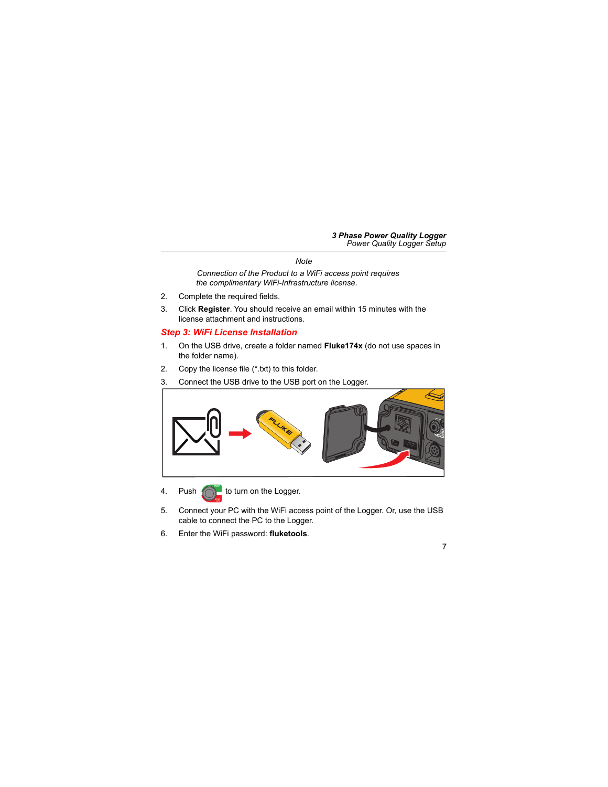#### *Note*

*Connection of the Product to a WiFi access point requires the complimentary WiFi-Infrastructure license.*

- 2. Complete the required fields.
- 3. Click **Register**. You should receive an email within 15 minutes with the license attachment and instructions.

## <span id="page-8-0"></span>*Step 3: WiFi License Installation*

- 1. On the USB drive, create a folder named **Fluke174x** (do not use spaces in the folder name).
- 2. Copy the license file (\*.txt) to this folder.
- 3. Connect the USB drive to the USB port on the Logger.



- 4. Push  $\bigcap$  to turn on the Logger.
- 5. Connect your PC with the WiFi access point of the Logger. Or, use the USB cable to connect the PC to the Logger.
- 6. Enter the WiFi password: **fluketools**.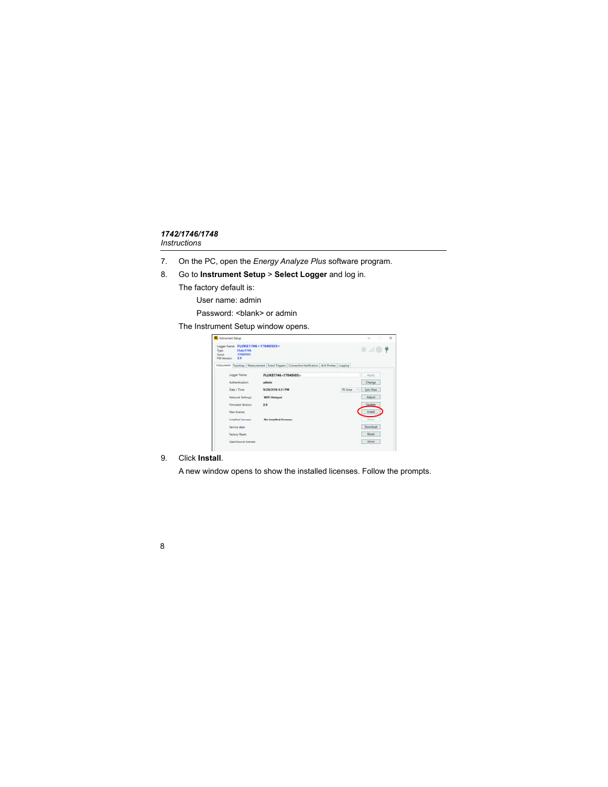#### *1742/1746/1748 Instructions*

- 7. On the PC, open the *Energy Analyze Plus* software program.
- 8. Go to **Instrument Setup** > **Select Logger** and log in.

The factory default is:

User name: admin

Password: <br/>hlank> or admin

The Instrument Setup window opens.

| <b>R</b> Instrument Setup<br>Floke 1746<br>Type:<br>17040503<br>Senal:<br>9.0<br>FW Version | Logger Name: FLUKE1746<17040503>                                                          |          | 0.107         |
|---------------------------------------------------------------------------------------------|-------------------------------------------------------------------------------------------|----------|---------------|
|                                                                                             | Instrument Topology Measurement Event Triggers Connection Verification AUX Probes Logging |          |               |
| Logger Name                                                                                 | FLUKE1746-17040501>                                                                       |          | Apply         |
| Authentications                                                                             | admin                                                                                     |          | Change        |
| Date / Time:                                                                                | 9/28/2018 4:13 PM                                                                         | PC time. | Sync Now      |
| <b>Network Settings:</b>                                                                    | <b>WiFi Hotspot</b>                                                                       |          | Adjust        |
| <b>Firmware Versions</b>                                                                    | 2.0                                                                                       |          | Undate        |
| New ficense:                                                                                |                                                                                           |          | <b>frital</b> |
| Installed Scenses:                                                                          | <b>No installed Ecenum</b>                                                                |          | SFrow.        |
| Service data:                                                                               |                                                                                           |          | Download      |
| <b>Factory Reset:</b>                                                                       |                                                                                           |          | Reset         |
| OperSource licenses                                                                         |                                                                                           |          | Show.         |

#### 9. Click **Install**.

A new window opens to show the installed licenses. Follow the prompts.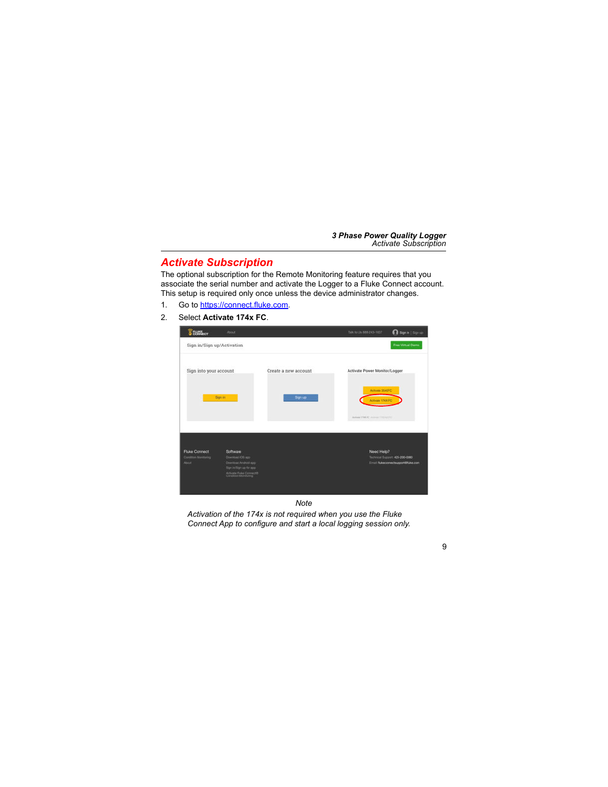## <span id="page-10-0"></span>*Activate Subscription*

The optional subscription for the Remote Monitoring feature requires that you associate the serial number and activate the Logger to a Fluke Connect account. This setup is required only once unless the device administrator changes.

- 1. Go to https://connect.fluke.com.
- 2. Select **Activate 174x FC**.

| <b>COMME</b>                                           | Abbat                                                                                                                                       |                                | Talk to Us 888-243-1007                                                                                      | <b>O</b> Sign in Eigenia                                                |
|--------------------------------------------------------|---------------------------------------------------------------------------------------------------------------------------------------------|--------------------------------|--------------------------------------------------------------------------------------------------------------|-------------------------------------------------------------------------|
| Sign in/Sign up/Activation                             |                                                                                                                                             |                                |                                                                                                              | <b>Free Virtual Derrio</b>                                              |
| Sign into your account                                 | Sign in                                                                                                                                     | Create a new account<br>Signup | Activate Power Monitor/Logger<br>Activate 3540FC<br>Activate 124X FC<br>Automa 1988 RT closings (140 m/k FC) |                                                                         |
| <b>Fluke Connect</b><br>Constitute Manitoring<br>About | Software<br>Direction 105 app<br><b>Openioad Android app</b><br>Sign in/Sign up for app<br>Activate Fluke Community<br>Constitut Manufaring |                                | Need Help?                                                                                                   | Technical Support: 425-200-0080<br>Email: flukeconnectsupport@fluke.com |

*Note*

*Activation of the 174x is not required when you use the Fluke Connect App to configure and start a local logging session only.*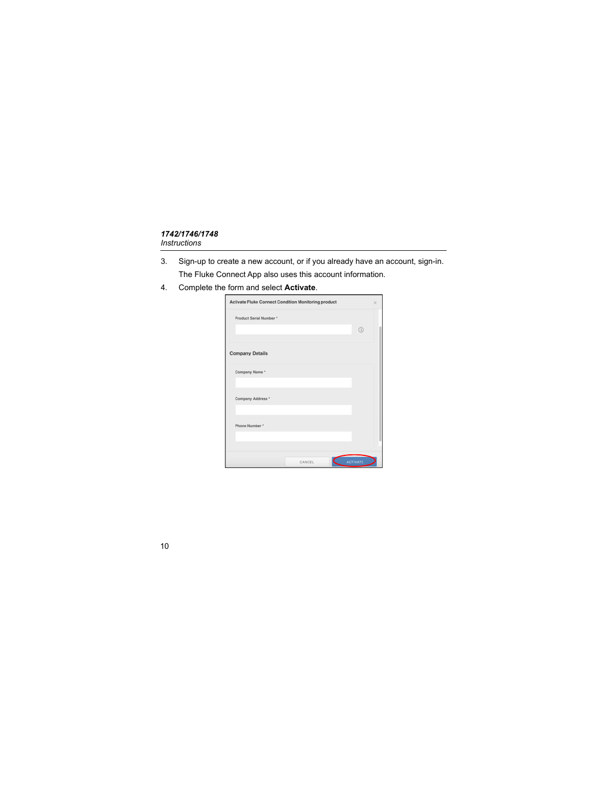#### *1742/1746/1748 Instructions*

- 3. Sign-up to create a new account, or if you already have an account, sign-in. The Fluke Connect App also uses this account information.
- 4. Complete the form and select **Activate**.

| <b>Activate Fluke Connect Condition Monitoring product</b> |                 | × |
|------------------------------------------------------------|-----------------|---|
| Product Serial Number *                                    |                 |   |
|                                                            | O)              |   |
| <b>Company Details</b>                                     |                 |   |
| Company Name*                                              |                 |   |
| Company Address *                                          |                 |   |
| Phone Number *                                             |                 |   |
|                                                            |                 |   |
| CANCEL                                                     | <b>ACTIVATE</b> |   |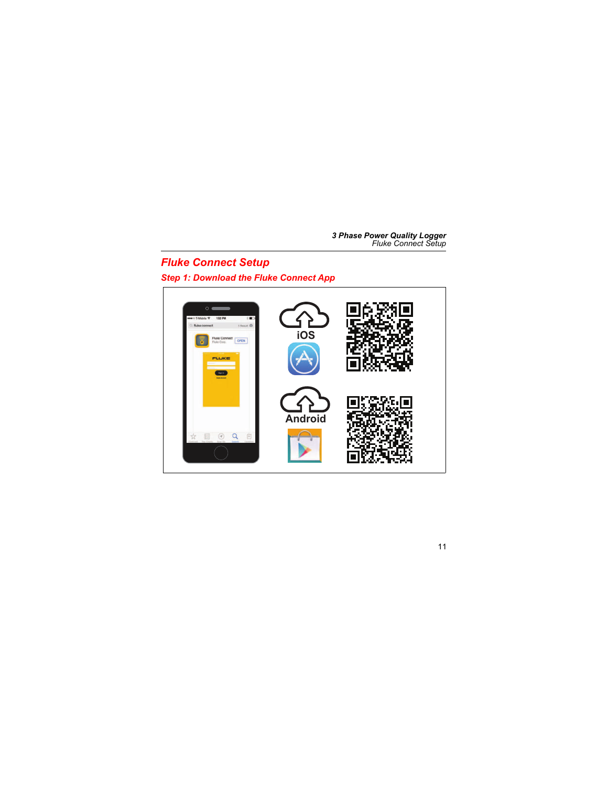## <span id="page-12-0"></span>*Fluke Connect Setup*

## <span id="page-12-1"></span>*Step 1: Download the Fluke Connect App*

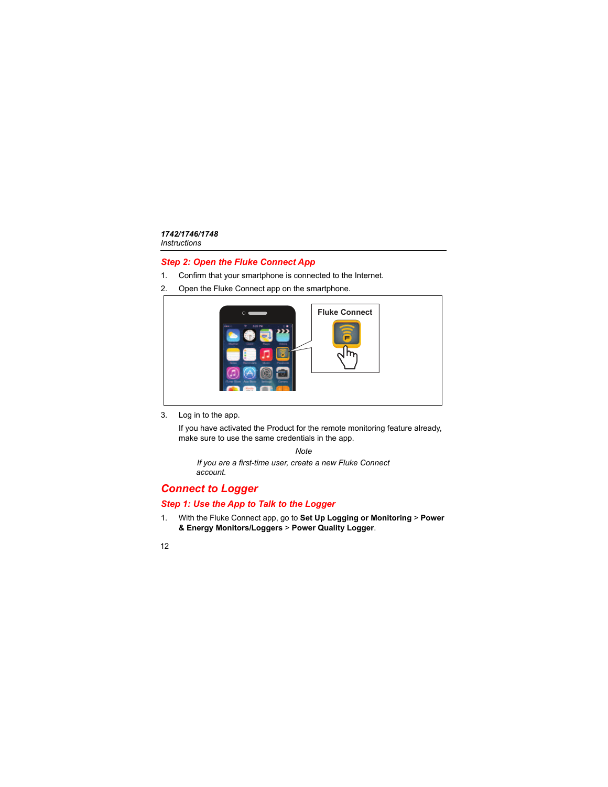## <span id="page-13-0"></span>*Step 2: Open the Fluke Connect App*

- 1. Confirm that your smartphone is connected to the Internet.
- 2. Open the Fluke Connect app on the smartphone.



3. Log in to the app.

If you have activated the Product for the remote monitoring feature already, make sure to use the same credentials in the app.

*Note*

*If you are a first-time user, create a new Fluke Connect account.*

## <span id="page-13-1"></span>*Connect to Logger*

## <span id="page-13-2"></span>*Step 1: Use the App to Talk to the Logger*

1. With the Fluke Connect app, go to **Set Up Logging or Monitoring** > **Power & Energy Monitors/Loggers** > **Power Quality Logger**.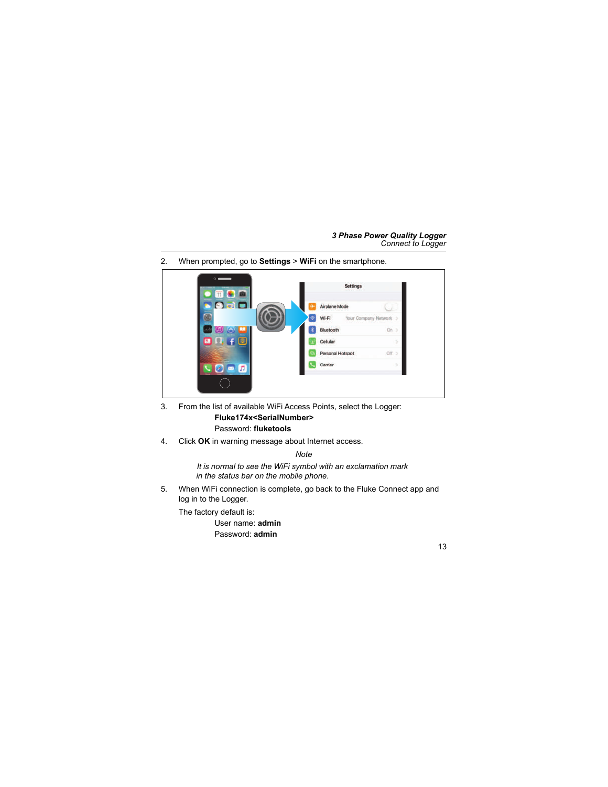2. When prompted, go to **Settings** > **WiFi** on the smartphone.



3. From the list of available WiFi Access Points, select the Logger: **Fluke174x<SerialNumber>**

#### Password: **fluketools**

4. Click **OK** in warning message about Internet access.

*Note*

*It is normal to see the WiFi symbol with an exclamation mark in the status bar on the mobile phone.*

5. When WiFi connection is complete, go back to the Fluke Connect app and log in to the Logger.

The factory default is:

User name: **admin** Password: **admin**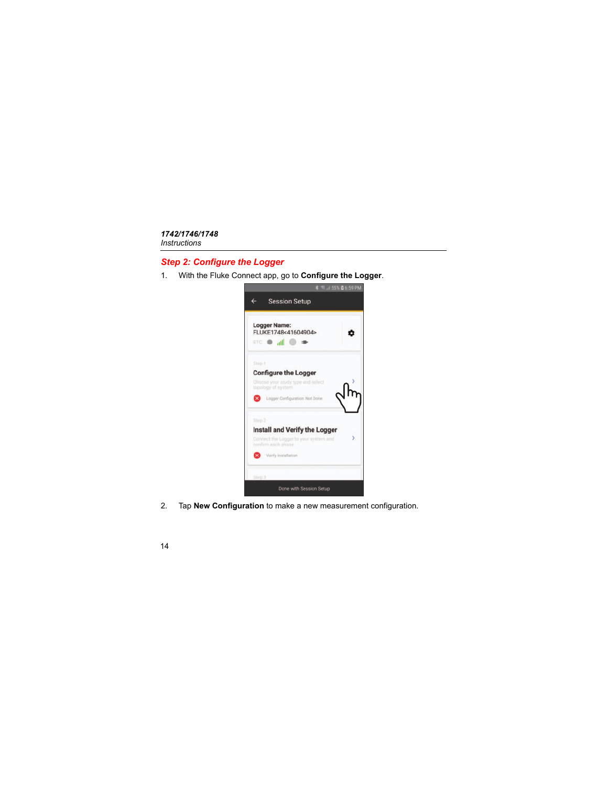## <span id="page-15-0"></span>*Step 2: Configure the Logger*

1. With the Fluke Connect app, go to **Configure the Logger**.



2. Tap **New Configuration** to make a new measurement configuration.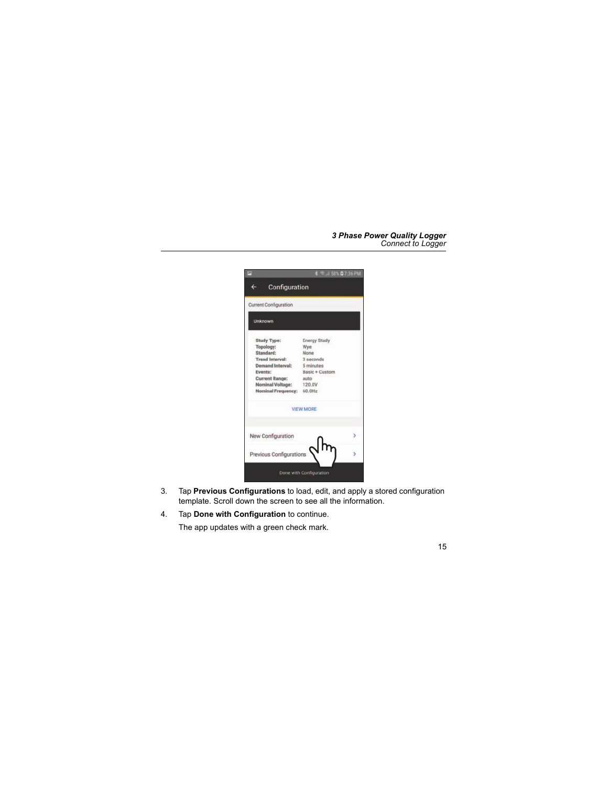| ے<br>Configuration        |                     |  |
|---------------------------|---------------------|--|
| Current Configuration     |                     |  |
| Unknown                   |                     |  |
| <b>Study Type:</b>        | <b>Energy Study</b> |  |
| Topology:                 | Wye                 |  |
| Standard:                 | None                |  |
| <b>Trend Interval:</b>    | 3 seconds           |  |
| <b>Demand Interval:</b>   | 5 minutes           |  |
| Events:                   | Basic + Custom      |  |
| <b>Current Range:</b>     | auto                |  |
| <b>Nominal Voltage:</b>   | 120.0V              |  |
| <b>Nominal Frequency:</b> | 60.0Hz              |  |
|                           | <b>VIEW MORE</b>    |  |
| New Configuration         |                     |  |
| Previous Configurations   |                     |  |

- 3. Tap **Previous Configurations** to load, edit, and apply a stored configuration template. Scroll down the screen to see all the information.
- 4. Tap **Done with Configuration** to continue.

The app updates with a green check mark.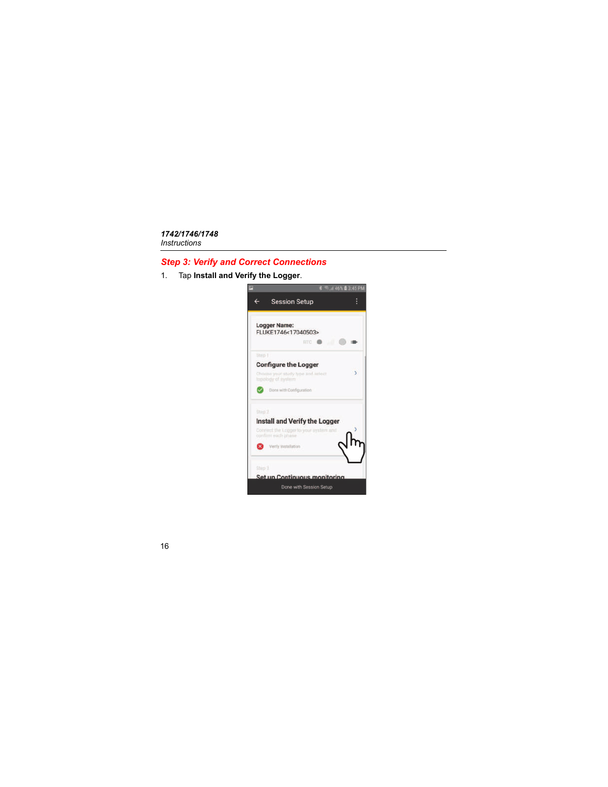## <span id="page-17-0"></span>*Step 3: Verify and Correct Connections*

1. Tap **Install and Verify the Logger**.

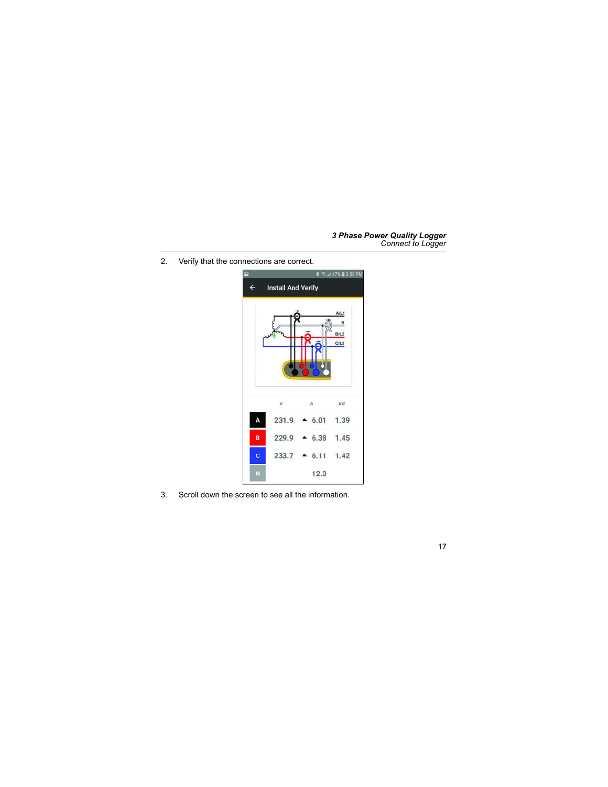2. Verify that the connections are correct.



3. Scroll down the screen to see all the information.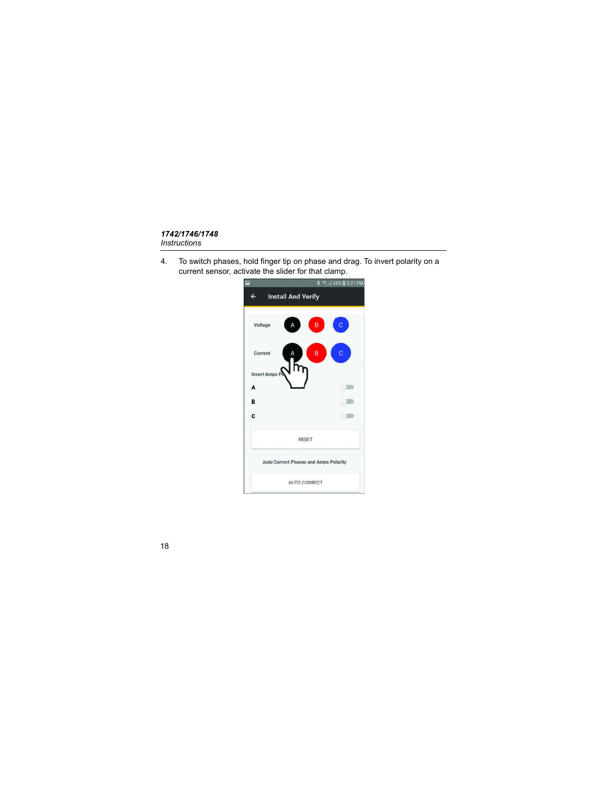4. To switch phases, hold finger tip on phase and drag. To invert polarity on a current sensor, activate the slider for that clamp.

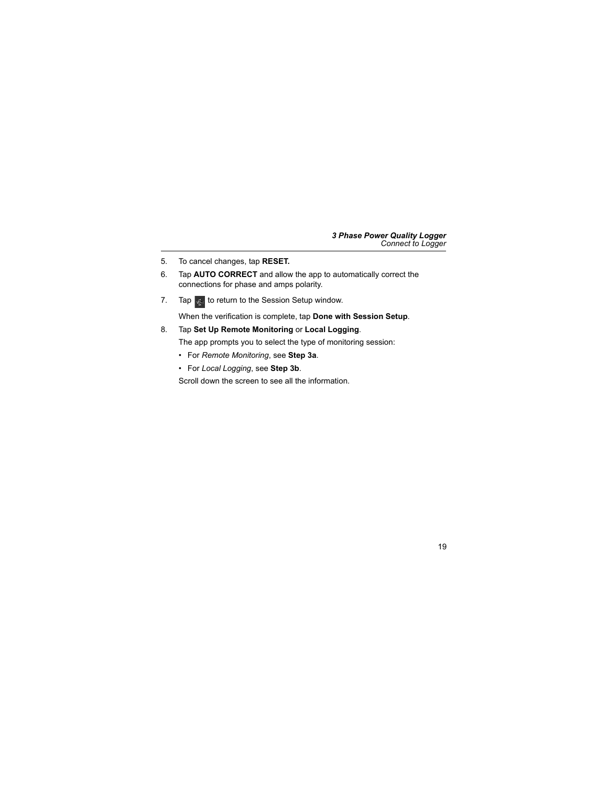- 5. To cancel changes, tap **RESET.**
- 6. Tap **AUTO CORRECT** and allow the app to automatically correct the connections for phase and amps polarity.
- 7. Tap  $\frac{1}{2}$  to return to the Session Setup window.

When the verification is complete, tap **Done with Session Setup**.

#### 8. Tap **Set Up Remote Monitoring** or **Local Logging**.

The app prompts you to select the type of monitoring session:

- For *Remote Monitoring*, see **Step 3a**.
- For *Local Logging*, see **Step 3b**.

Scroll down the screen to see all the information.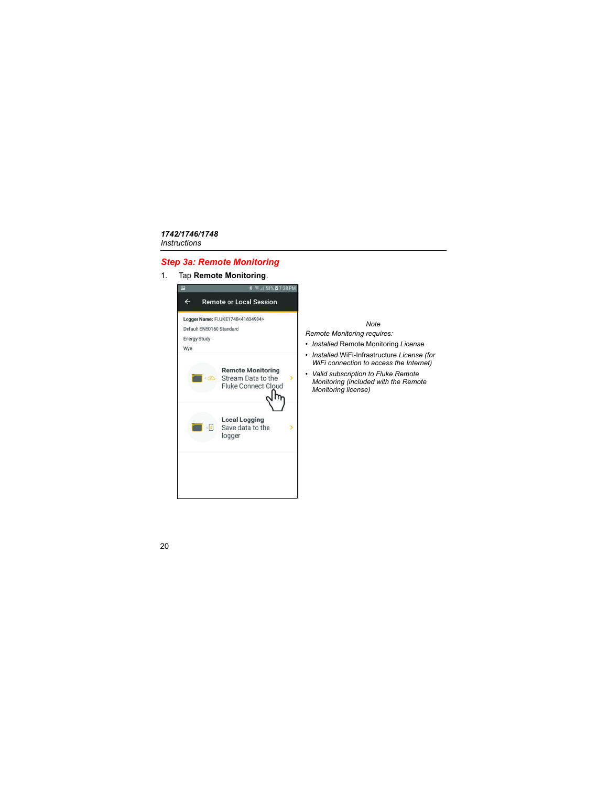## <span id="page-21-0"></span>*Step 3a: Remote Monitoring*

1. Tap **Remote Monitoring**.



*Note Remote Monitoring requires:*

- *ï Installed* Remote Monitoring *License*
- *ï Installed* WiFi-Infrastructure *License (for WiFi connection to access the Internet)*
- *ï Valid subscription to Fluke Remote Monitoring (included with the Remote Monitoring license)*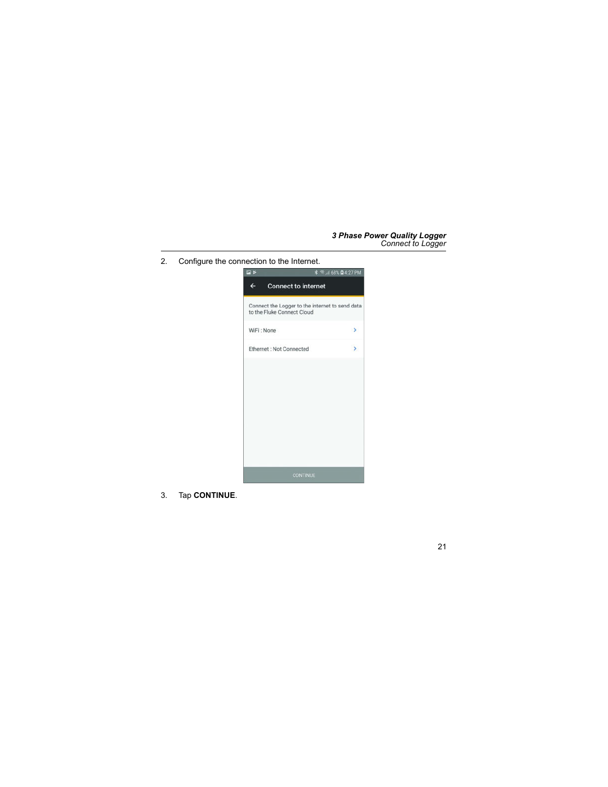2. Configure the connection to the Internet.



3. Tap **CONTINUE**.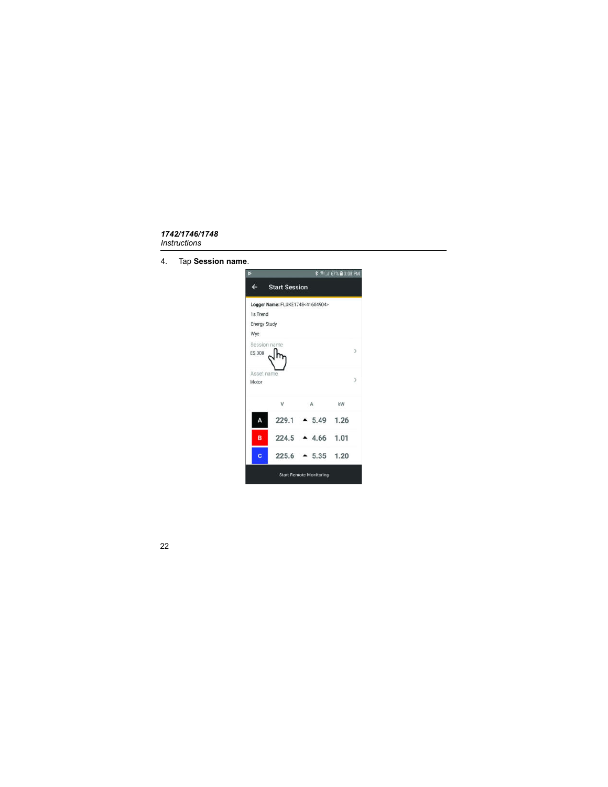#### 4. Tap **Session name**.

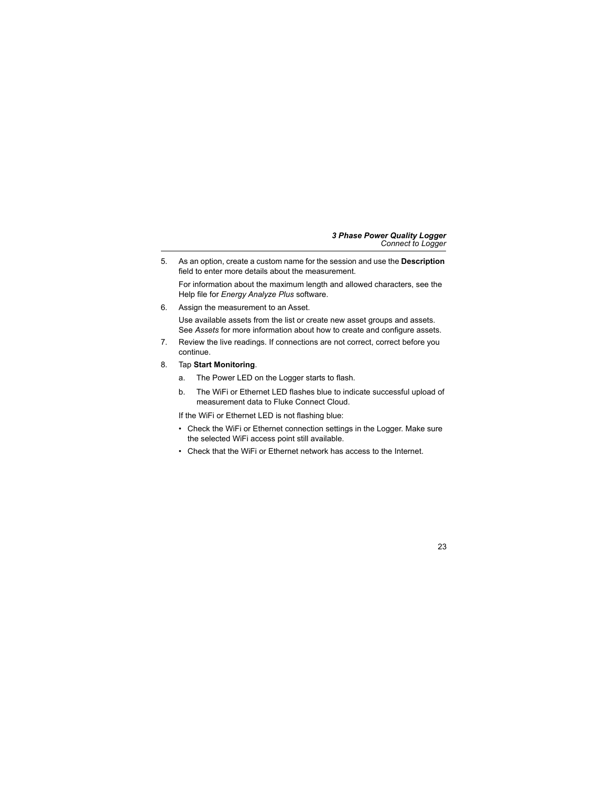5. As an option, create a custom name for the session and use the **Description** field to enter more details about the measurement.

For information about the maximum length and allowed characters, see the Help file for *Energy Analyze Plus* software.

6. Assign the measurement to an Asset.

Use available assets from the list or create new asset groups and assets. See *[Assets](#page-31-0)* for more information about how to create and configure assets.

- 7. Review the live readings. If connections are not correct, correct before you continue.
- 8. Tap **Start Monitoring**.
	- a. The Power LED on the Logger starts to flash.
	- b. The WiFi or Ethernet LED flashes blue to indicate successful upload of measurement data to Fluke Connect Cloud.

If the WiFi or Ethernet LED is not flashing blue:

- Check the WiFi or Ethernet connection settings in the Logger. Make sure the selected WiFi access point still available.
- Check that the WiFi or Ethernet network has access to the Internet.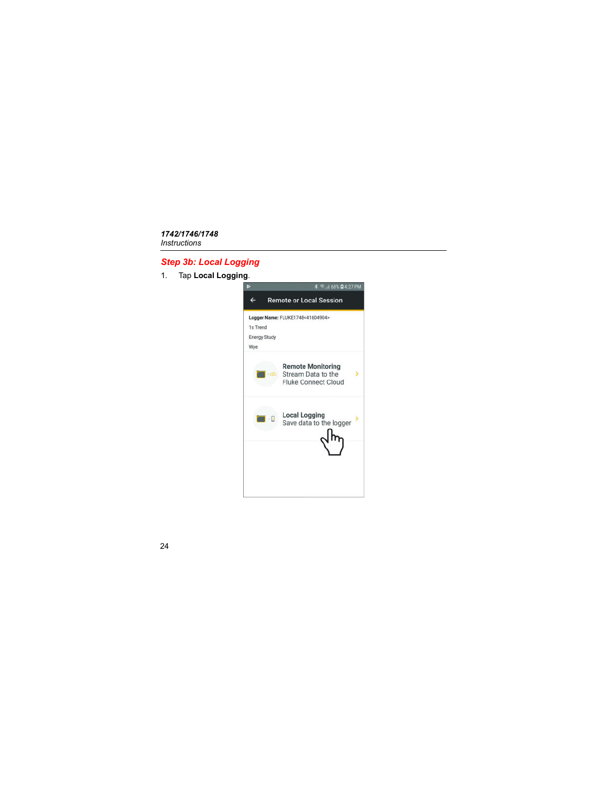## <span id="page-25-0"></span>*Step 3b: Local Logging*

1. Tap **Local Logging**.

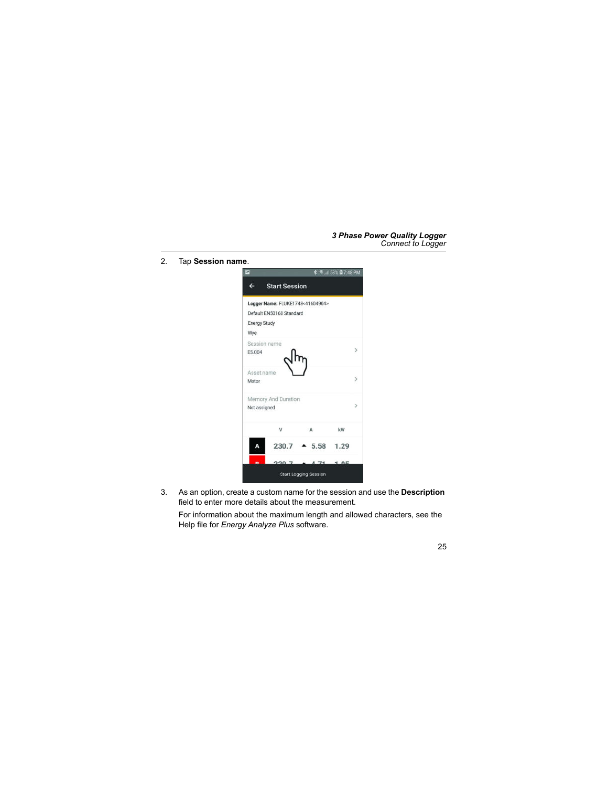#### 2. Tap **Session name**.



3. As an option, create a custom name for the session and use the **Description** field to enter more details about the measurement.

For information about the maximum length and allowed characters, see the Help file for *Energy Analyze Plus* software.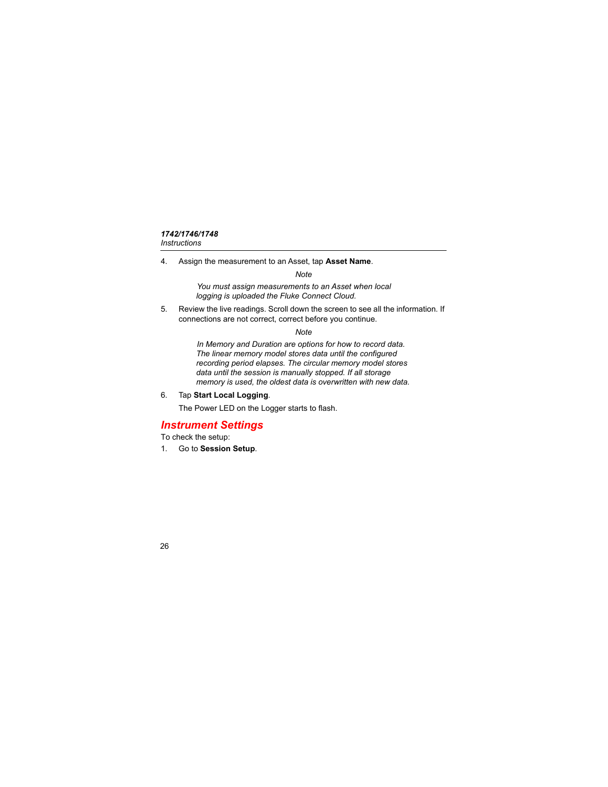4. Assign the measurement to an Asset, tap **Asset Name**.

*Note*

*You must assign measurements to an Asset when local logging is uploaded the Fluke Connect Cloud.*

5. Review the live readings. Scroll down the screen to see all the information. If connections are not correct, correct before you continue.

*Note*

*In Memory and Duration are options for how to record data. The linear memory model stores data until the configured recording period elapses. The circular memory model stores data until the session is manually stopped. If all storage memory is used, the oldest data is overwritten with new data.*

6. Tap **Start Local Logging**.

The Power LED on the Logger starts to flash.

## <span id="page-27-0"></span>*Instrument Settings*

To check the setup:

1. Go to **Session Setup**.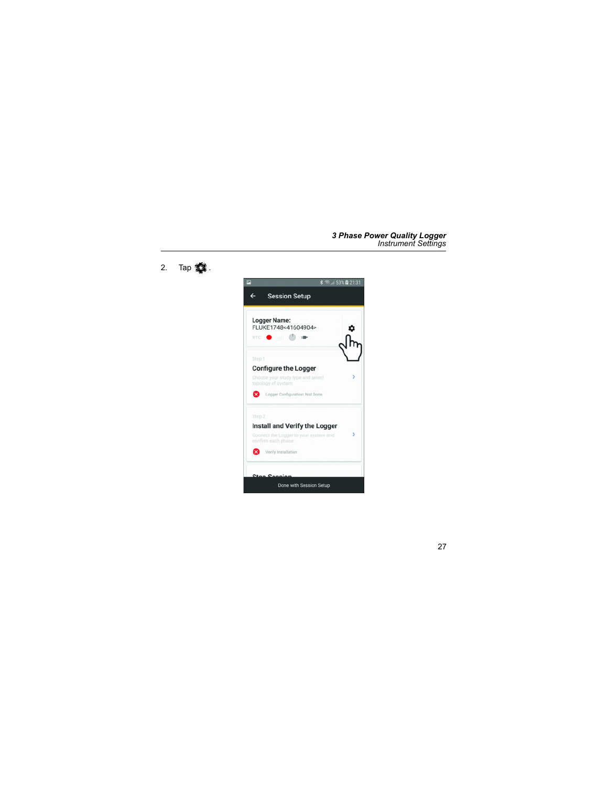2. Tap  $\frac{1}{2}$ .

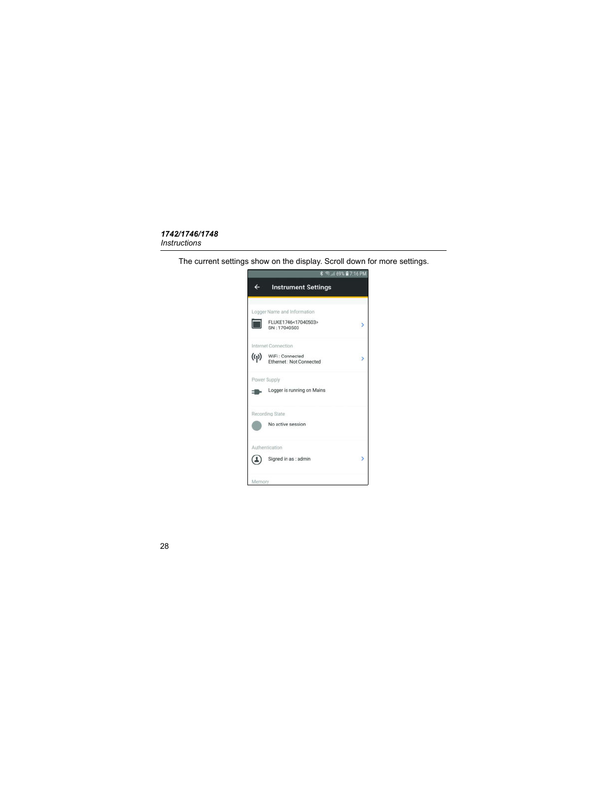The current settings show on the display. Scroll down for more settings.

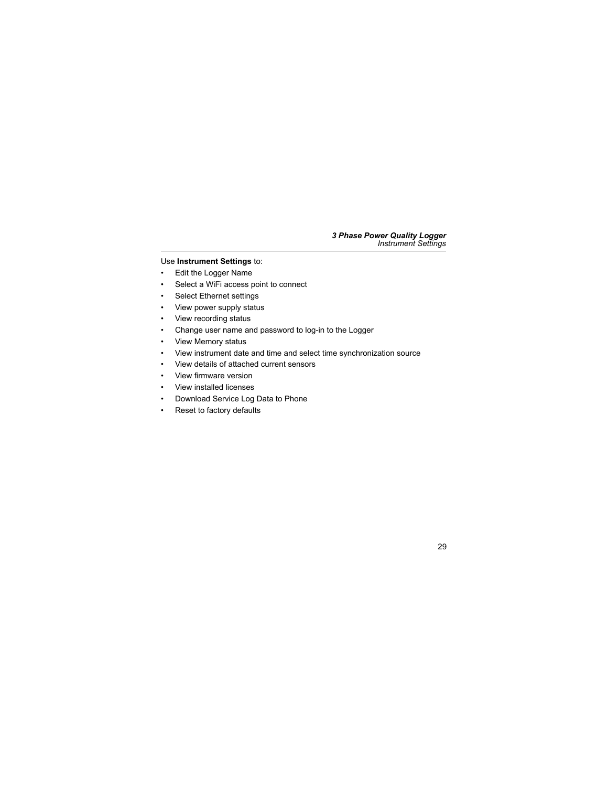#### Use **Instrument Settings** to:

- Edit the Logger Name
- Select a WiFi access point to connect
- Select Ethernet settings
- View power supply status
- View recording status
- Change user name and password to log-in to the Logger
- View Memory status
- View instrument date and time and select time synchronization source
- View details of attached current sensors
- View firmware version
- View installed licenses
- Download Service Log Data to Phone
- Reset to factory defaults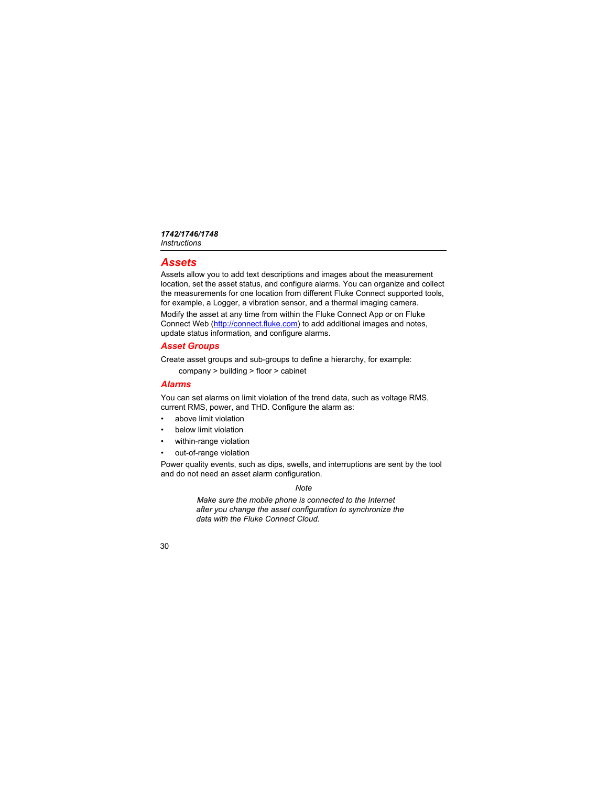## <span id="page-31-0"></span>*Assets*

Assets allow you to add text descriptions and images about the measurement location, set the asset status, and configure alarms. You can organize and collect the measurements for one location from different Fluke Connect supported tools, for example, a Logger, a vibration sensor, and a thermal imaging camera. [Modify the asset at any time from within the Fluke Connect App or on Fluke](http://connect.fluke.com)  [Connect Web \(](http://connect.fluke.com)http://connect.fluke.com) to add additional images and notes, update status information, and configure alarms.

## <span id="page-31-1"></span>*Asset Groups*

Create asset groups and sub-groups to define a hierarchy, for example:

company > building > floor > cabinet

## <span id="page-31-2"></span>*Alarms*

You can set alarms on limit violation of the trend data, such as voltage RMS, current RMS, power, and THD. Configure the alarm as:

- above limit violation
- below limit violation
- within-range violation
- out-of-range violation

Power quality events, such as dips, swells, and interruptions are sent by the tool and do not need an asset alarm configuration.

*Note*

*Make sure the mobile phone is connected to the Internet after you change the asset configuration to synchronize the data with the Fluke Connect Cloud.*